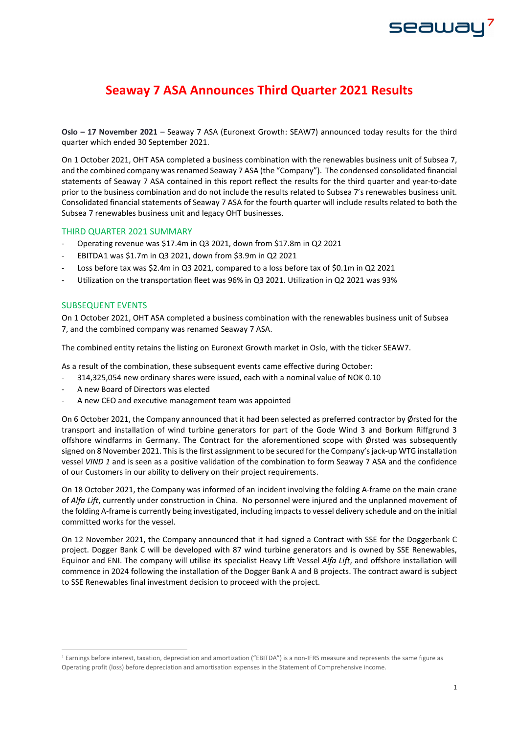# **Seaway 7 ASA Announces Third Quarter 2021 Results**

**Oslo – 17 November 2021** – Seaway 7 ASA (Euronext Growth: SEAW7) announced today results for the third quarter which ended 30 September 2021.

On 1 October 2021, OHT ASA completed a business combination with the renewables business unit of Subsea 7, and the combined company was renamed Seaway 7 ASA (the "Company"). The condensed consolidated financial statements of Seaway 7 ASA contained in this report reflect the results for the third quarter and year-to-date prior to the business combination and do not include the results related to Subsea 7's renewables business unit. Consolidated financial statements of Seaway 7 ASA for the fourth quarter will include results related to both the Subsea 7 renewables business unit and legacy OHT businesses.

### THIRD QUARTER 2021 SUMMARY

- Operating revenue was \$17.4m in Q3 2021, down from \$17.8m in Q2 2021
- EBITDA[1](#page-0-0) was \$1.7m in Q3 2021, down from \$3.9m in Q2 2021
- Loss before tax was \$2.4m in Q3 2021, compared to a loss before tax of \$0.1m in Q2 2021
- Utilization on the transportation fleet was 96% in Q3 2021. Utilization in Q2 2021 was 93%

### SUBSEQUENT EVENTS

On 1 October 2021, OHT ASA completed a business combination with the renewables business unit of Subsea 7, and the combined company was renamed Seaway 7 ASA.

The combined entity retains the listing on Euronext Growth market in Oslo, with the ticker SEAW7.

As a result of the combination, these subsequent events came effective during October:

- 314,325,054 new ordinary shares were issued, each with a nominal value of NOK 0.10
- A new Board of Directors was elected
- A new CEO and executive management team was appointed

On 6 October 2021, the Company announced that it had been selected as preferred contractor by Ørsted for the transport and installation of wind turbine generators for part of the Gode Wind 3 and Borkum Riffgrund 3 offshore windfarms in Germany. The Contract for the aforementioned scope with Ørsted was subsequently signed on 8 November 2021. This is the first assignment to be secured for the Company's jack-up WTG installation vessel *VIND 1* and is seen as a positive validation of the combination to form Seaway 7 ASA and the confidence of our Customers in our ability to delivery on their project requirements.

On 18 October 2021, the Company was informed of an incident involving the folding A-frame on the main crane of *Alfa Lift*, currently under construction in China. No personnel were injured and the unplanned movement of the folding A-frame is currently being investigated, including impacts to vessel delivery schedule and on the initial committed works for the vessel.

On 12 November 2021, the Company announced that it had signed a Contract with SSE for the Doggerbank C project. Dogger Bank C will be developed with 87 wind turbine generators and is owned by SSE Renewables, Equinor and ENI. The company will utilise its specialist Heavy Lift Vessel *Alfa Lift*, and offshore installation will commence in 2024 following the installation of the Dogger Bank A and B projects. The contract award is subject to SSE Renewables final investment decision to proceed with the project.

seawa

<span id="page-0-0"></span><sup>1</sup> Earnings before interest, taxation, depreciation and amortization ("EBITDA") is a non-IFRS measure and represents the same figure as Operating profit (loss) before depreciation and amortisation expenses in the Statement of Comprehensive income.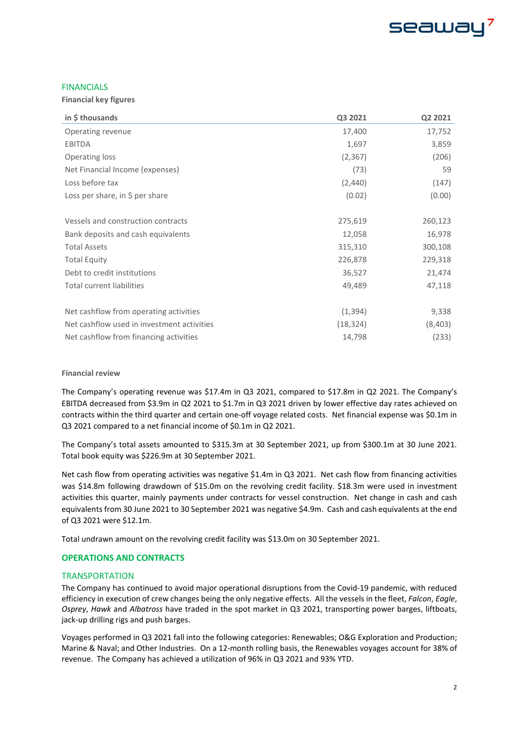

### FINANCIALS

**Financial key figures** 

| in \$ thousands                            | Q3 2021   | Q2 2021 |
|--------------------------------------------|-----------|---------|
| Operating revenue                          | 17,400    | 17,752  |
| <b>EBITDA</b>                              | 1,697     | 3,859   |
| Operating loss                             | (2, 367)  | (206)   |
| Net Financial Income (expenses)            | (73)      | 59      |
| Loss before tax                            | (2,440)   | (147)   |
| Loss per share, in $\frac{1}{2}$ per share | (0.02)    | (0.00)  |
|                                            |           |         |
| Vessels and construction contracts         | 275,619   | 260,123 |
| Bank deposits and cash equivalents         | 12,058    | 16,978  |
| <b>Total Assets</b>                        | 315,310   | 300,108 |
| <b>Total Equity</b>                        | 226,878   | 229,318 |
| Debt to credit institutions                | 36,527    | 21,474  |
| <b>Total current liabilities</b>           | 49,489    | 47,118  |
| Net cashflow from operating activities     | (1, 394)  | 9,338   |
| Net cashflow used in investment activities | (18, 324) | (8,403) |
| Net cashflow from financing activities     | 14,798    | (233)   |

### **Financial review**

The Company's operating revenue was \$17.4m in Q3 2021, compared to \$17.8m in Q2 2021. The Company's EBITDA decreased from \$3.9m in Q2 2021 to \$1.7m in Q3 2021 driven by lower effective day rates achieved on contracts within the third quarter and certain one-off voyage related costs. Net financial expense was \$0.1m in Q3 2021 compared to a net financial income of \$0.1m in Q2 2021.

The Company's total assets amounted to \$315.3m at 30 September 2021, up from \$300.1m at 30 June 2021. Total book equity was \$226.9m at 30 September 2021.

Net cash flow from operating activities was negative \$1.4m in Q3 2021. Net cash flow from financing activities was \$14.8m following drawdown of \$15.0m on the revolving credit facility. \$18.3m were used in investment activities this quarter, mainly payments under contracts for vessel construction. Net change in cash and cash equivalents from 30 June 2021 to 30 September 2021 was negative \$4.9m. Cash and cash equivalents at the end of Q3 2021 were \$12.1m.

Total undrawn amount on the revolving credit facility was \$13.0m on 30 September 2021.

### **OPERATIONS AND CONTRACTS**

### **TRANSPORTATION**

The Company has continued to avoid major operational disruptions from the Covid-19 pandemic, with reduced efficiency in execution of crew changes being the only negative effects. All the vessels in the fleet, *Falcon*, *Eagle*, *Osprey*, *Hawk* and *Albatross* have traded in the spot market in Q3 2021, transporting power barges, liftboats, jack-up drilling rigs and push barges.

Voyages performed in Q3 2021 fall into the following categories: Renewables; O&G Exploration and Production; Marine & Naval; and Other Industries. On a 12-month rolling basis, the Renewables voyages account for 38% of revenue. The Company has achieved a utilization of 96% in Q3 2021 and 93% YTD.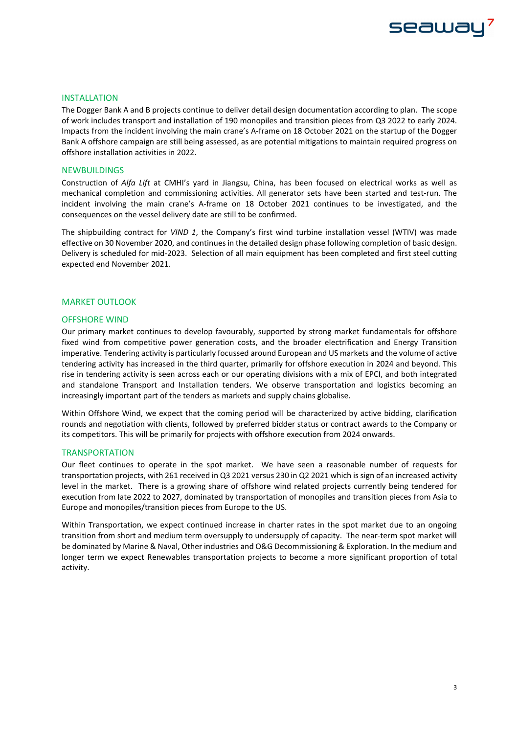# seawa

### INSTALLATION

The Dogger Bank A and B projects continue to deliver detail design documentation according to plan. The scope of work includes transport and installation of 190 monopiles and transition pieces from Q3 2022 to early 2024. Impacts from the incident involving the main crane's A-frame on 18 October 2021 on the startup of the Dogger Bank A offshore campaign are still being assessed, as are potential mitigations to maintain required progress on offshore installation activities in 2022.

### NEWBUILDINGS

Construction of *Alfa Lift* at CMHI's yard in Jiangsu, China, has been focused on electrical works as well as mechanical completion and commissioning activities. All generator sets have been started and test-run. The incident involving the main crane's A-frame on 18 October 2021 continues to be investigated, and the consequences on the vessel delivery date are still to be confirmed.

The shipbuilding contract for *VIND 1*, the Company's first wind turbine installation vessel (WTIV) was made effective on 30 November 2020, and continues in the detailed design phase following completion of basic design. Delivery is scheduled for mid-2023. Selection of all main equipment has been completed and first steel cutting expected end November 2021.

### MARKET OUTLOOK

### OFFSHORE WIND

Our primary market continues to develop favourably, supported by strong market fundamentals for offshore fixed wind from competitive power generation costs, and the broader electrification and Energy Transition imperative. Tendering activity is particularly focussed around European and US markets and the volume of active tendering activity has increased in the third quarter, primarily for offshore execution in 2024 and beyond. This rise in tendering activity is seen across each or our operating divisions with a mix of EPCI, and both integrated and standalone Transport and Installation tenders. We observe transportation and logistics becoming an increasingly important part of the tenders as markets and supply chains globalise.

Within Offshore Wind, we expect that the coming period will be characterized by active bidding, clarification rounds and negotiation with clients, followed by preferred bidder status or contract awards to the Company or its competitors. This will be primarily for projects with offshore execution from 2024 onwards.

### **TRANSPORTATION**

Our fleet continues to operate in the spot market. We have seen a reasonable number of requests for transportation projects, with 261 received in Q3 2021 versus 230 in Q2 2021 which is sign of an increased activity level in the market. There is a growing share of offshore wind related projects currently being tendered for execution from late 2022 to 2027, dominated by transportation of monopiles and transition pieces from Asia to Europe and monopiles/transition pieces from Europe to the US.

Within Transportation, we expect continued increase in charter rates in the spot market due to an ongoing transition from short and medium term oversupply to undersupply of capacity. The near-term spot market will be dominated by Marine & Naval, Other industries and O&G Decommissioning & Exploration. In the medium and longer term we expect Renewables transportation projects to become a more significant proportion of total activity.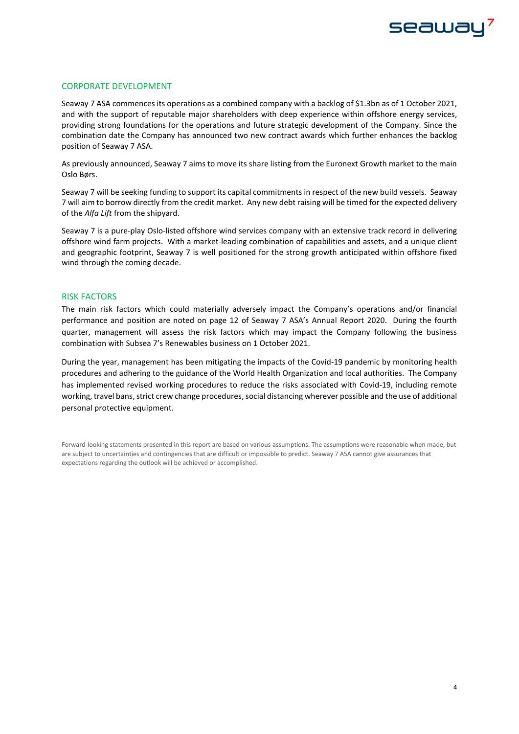

### CORPORATE DEVELOPMENT

Seaway 7 ASA commences its operations as a combined company with a backlog of \$1.3bn as of 1 October 2021, and with the support of reputable major shareholders with deep experience within offshore energy services, providing strong foundations for the operations and future strategic development of the Company. Since the combination date the Company has announced two new contract awards which further enhances the backlog position of Seaway 7 ASA.

As previously announced, Seaway 7 aims to move its share listing from the Euronext Growth market to the main Oslo Børs.

Seaway 7 will be seeking funding to support its capital commitments in respect of the new build vessels. Seaway 7 will aim to borrow directly from the credit market. Any new debt raising will be timed for the expected delivery of the *Alfa Lift* from the shipyard.

Seaway 7 is a pure-play Oslo-listed offshore wind services company with an extensive track record in delivering offshore wind farm projects. With a market-leading combination of capabilities and assets, and a unique client and geographic footprint, Seaway 7 is well positioned for the strong growth anticipated within offshore fixed wind through the coming decade.

### RISK FACTORS

The main risk factors which could materially adversely impact the Company's operations and/or financial performance and position are noted on page 12 of Seaway 7 ASA's Annual Report 2020. During the fourth quarter, management will assess the risk factors which may impact the Company following the business combination with Subsea 7's Renewables business on 1 October 2021.

During the year, management has been mitigating the impacts of the Covid-19 pandemic by monitoring health procedures and adhering to the guidance of the World Health Organization and local authorities. The Company has implemented revised working procedures to reduce the risks associated with Covid-19, including remote working, travel bans, strict crew change procedures, social distancing wherever possible and the use of additional personal protective equipment.

Forward-looking statements presented in this report are based on various assumptions. The assumptions were reasonable when made, but are subject to uncertainties and contingencies that are difficult or impossible to predict. Seaway 7 ASA cannot give assurances that expectations regarding the outlook will be achieved or accomplished.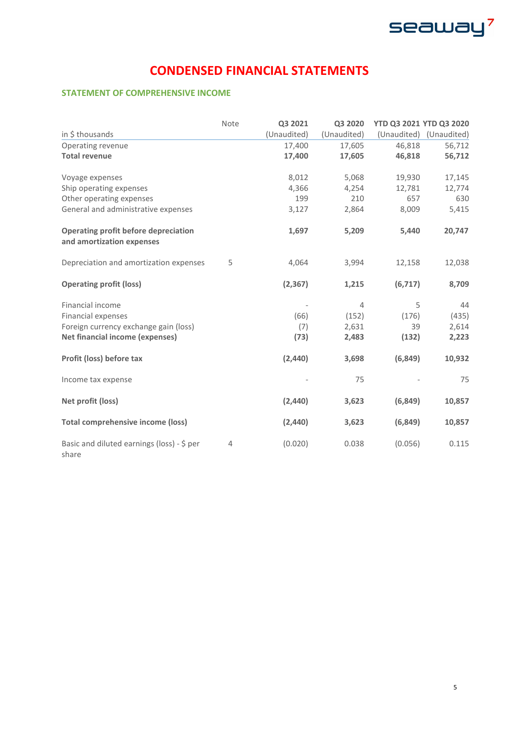

## **CONDENSED FINANCIAL STATEMENTS**

### **STATEMENT OF COMPREHENSIVE INCOME**

|                                                                          | Note | Q3 2021     | Q3 2020        | YTD Q3 2021 YTD Q3 2020 |                         |
|--------------------------------------------------------------------------|------|-------------|----------------|-------------------------|-------------------------|
| in \$ thousands                                                          |      | (Unaudited) | (Unaudited)    |                         | (Unaudited) (Unaudited) |
| Operating revenue                                                        |      | 17,400      | 17,605         | 46,818                  | 56,712                  |
| <b>Total revenue</b>                                                     |      | 17,400      | 17,605         | 46,818                  | 56,712                  |
| Voyage expenses                                                          |      | 8,012       | 5,068          | 19,930                  | 17,145                  |
| Ship operating expenses                                                  |      | 4,366       | 4,254          | 12,781                  | 12,774                  |
| Other operating expenses                                                 |      | 199         | 210            | 657                     | 630                     |
| General and administrative expenses                                      |      | 3,127       | 2,864          | 8,009                   | 5,415                   |
| <b>Operating profit before depreciation</b><br>and amortization expenses |      | 1,697       | 5,209          | 5,440                   | 20,747                  |
| Depreciation and amortization expenses                                   | 5    | 4,064       | 3,994          | 12,158                  | 12,038                  |
| <b>Operating profit (loss)</b>                                           |      | (2, 367)    | 1,215          | (6,717)                 | 8,709                   |
| Financial income                                                         |      |             | $\overline{4}$ | 5                       | 44                      |
| Financial expenses                                                       |      | (66)        | (152)          | (176)                   | (435)                   |
| Foreign currency exchange gain (loss)                                    |      | (7)         | 2,631          | 39                      | 2,614                   |
| <b>Net financial income (expenses)</b>                                   |      | (73)        | 2,483          | (132)                   | 2,223                   |
| Profit (loss) before tax                                                 |      | (2, 440)    | 3,698          | (6, 849)                | 10,932                  |
| Income tax expense                                                       |      |             | 75             |                         | 75                      |
| Net profit (loss)                                                        |      | (2,440)     | 3,623          | (6, 849)                | 10,857                  |
| <b>Total comprehensive income (loss)</b>                                 |      | (2,440)     | 3,623          | (6, 849)                | 10,857                  |
| Basic and diluted earnings (loss) - \$ per<br>share                      | 4    | (0.020)     | 0.038          | (0.056)                 | 0.115                   |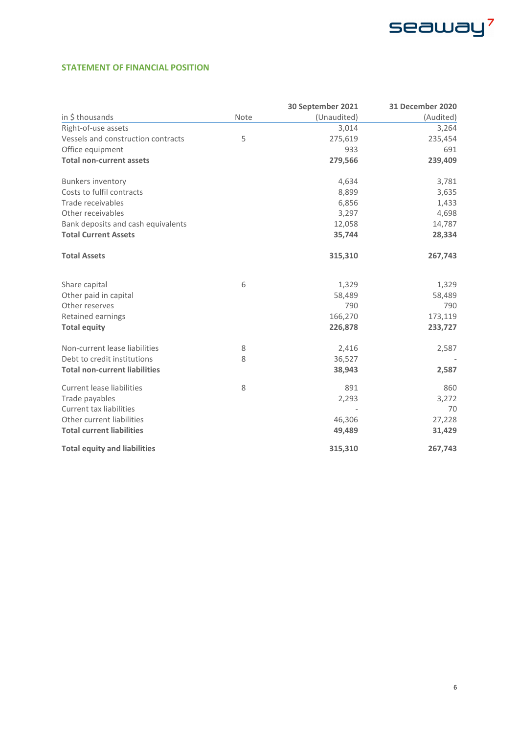

### **STATEMENT OF FINANCIAL POSITION**

|                                      |      | 30 September 2021 | <b>31 December 2020</b> |
|--------------------------------------|------|-------------------|-------------------------|
| in \$ thousands                      | Note | (Unaudited)       | (Audited)               |
| Right-of-use assets                  |      | 3,014             | 3,264                   |
| Vessels and construction contracts   | 5    | 275,619           | 235,454                 |
| Office equipment                     |      | 933               | 691                     |
| <b>Total non-current assets</b>      |      | 279,566           | 239,409                 |
| <b>Bunkers inventory</b>             |      | 4,634             | 3,781                   |
| Costs to fulfil contracts            |      | 8,899             | 3,635                   |
| Trade receivables                    |      | 6,856             | 1,433                   |
| Other receivables                    |      | 3,297             | 4,698                   |
| Bank deposits and cash equivalents   |      | 12,058            | 14,787                  |
| <b>Total Current Assets</b>          |      | 35,744            | 28,334                  |
| <b>Total Assets</b>                  |      | 315,310           | 267,743                 |
| Share capital                        | 6    | 1,329             | 1,329                   |
| Other paid in capital                |      | 58,489            | 58,489                  |
| Other reserves                       |      | 790               | 790                     |
| Retained earnings                    |      | 166,270           | 173,119                 |
| <b>Total equity</b>                  |      | 226,878           | 233,727                 |
| Non-current lease liabilities        | 8    | 2,416             | 2,587                   |
| Debt to credit institutions          | 8    | 36,527            |                         |
| <b>Total non-current liabilities</b> |      | 38,943            | 2,587                   |
| <b>Current lease liabilities</b>     | 8    | 891               | 860                     |
| Trade payables                       |      | 2,293             | 3,272                   |
| <b>Current tax liabilities</b>       |      |                   | 70                      |
| Other current liabilities            |      | 46,306            | 27,228                  |
| <b>Total current liabilities</b>     |      | 49,489            | 31,429                  |
| <b>Total equity and liabilities</b>  |      | 315,310           | 267,743                 |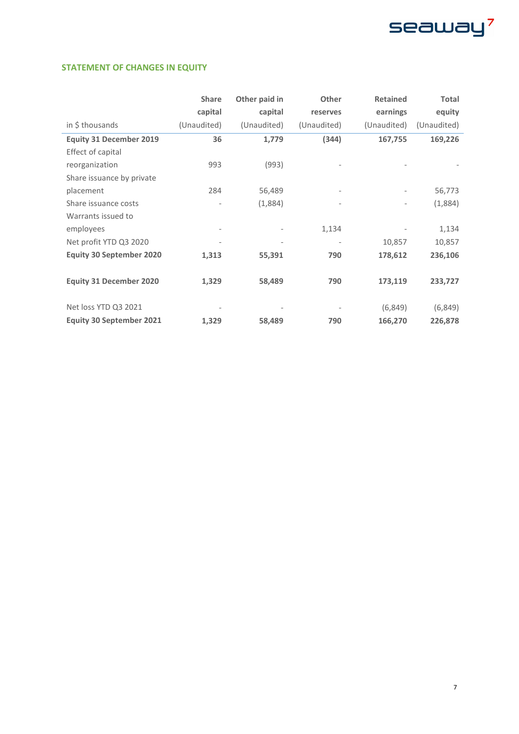

### **STATEMENT OF CHANGES IN EQUITY**

|                                 | <b>Share</b>             | Other paid in                | Other                    | <b>Retained</b>          | <b>Total</b> |
|---------------------------------|--------------------------|------------------------------|--------------------------|--------------------------|--------------|
|                                 | capital                  | capital                      | reserves                 | earnings                 | equity       |
| in \$ thousands                 | (Unaudited)              | (Unaudited)                  | (Unaudited)              | (Unaudited)              | (Unaudited)  |
| <b>Equity 31 December 2019</b>  | 36                       | 1,779                        | (344)                    | 167,755                  | 169,226      |
| Effect of capital               |                          |                              |                          |                          |              |
| reorganization                  | 993                      | (993)                        |                          |                          |              |
| Share issuance by private       |                          |                              |                          |                          |              |
| placement                       | 284                      | 56,489                       | $\overline{\phantom{a}}$ |                          | 56,773       |
| Share issuance costs            |                          | (1,884)                      | $\overline{a}$           | $\overline{\phantom{a}}$ | (1,884)      |
| Warrants issued to              |                          |                              |                          |                          |              |
| employees                       | $\overline{\phantom{a}}$ |                              | 1,134                    |                          | 1,134        |
| Net profit YTD Q3 2020          |                          | $\qquad \qquad \blacksquare$ | $\overline{\phantom{a}}$ | 10,857                   | 10,857       |
| <b>Equity 30 September 2020</b> | 1,313                    | 55,391                       | 790                      | 178,612                  | 236,106      |
|                                 |                          |                              |                          |                          |              |
| <b>Equity 31 December 2020</b>  | 1,329                    | 58,489                       | 790                      | 173,119                  | 233,727      |
|                                 |                          |                              |                          |                          |              |
| Net loss YTD Q3 2021            |                          |                              |                          | (6, 849)                 | (6, 849)     |
| <b>Equity 30 September 2021</b> | 1,329                    | 58,489                       | 790                      | 166,270                  | 226,878      |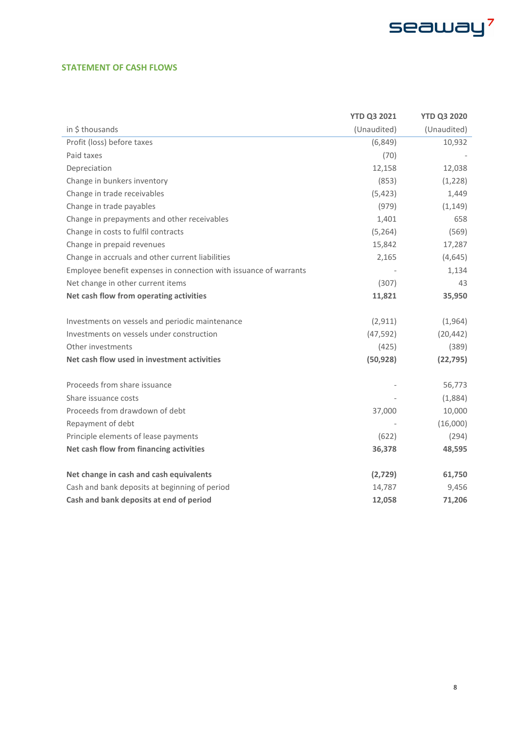

### **STATEMENT OF CASH FLOWS**

|                                                                   | <b>YTD Q3 2021</b> | <b>YTD Q3 2020</b> |
|-------------------------------------------------------------------|--------------------|--------------------|
| in \$ thousands                                                   | (Unaudited)        | (Unaudited)        |
| Profit (loss) before taxes                                        | (6, 849)           | 10,932             |
| Paid taxes                                                        | (70)               |                    |
| Depreciation                                                      | 12,158             | 12,038             |
| Change in bunkers inventory                                       | (853)              | (1,228)            |
| Change in trade receivables                                       | (5, 423)           | 1,449              |
| Change in trade payables                                          | (979)              | (1, 149)           |
| Change in prepayments and other receivables                       | 1,401              | 658                |
| Change in costs to fulfil contracts                               | (5, 264)           | (569)              |
| Change in prepaid revenues                                        | 15,842             | 17,287             |
| Change in accruals and other current liabilities                  | 2,165              | (4, 645)           |
| Employee benefit expenses in connection with issuance of warrants |                    | 1,134              |
| Net change in other current items                                 | (307)              | 43                 |
| Net cash flow from operating activities                           | 11,821             | 35,950             |
|                                                                   |                    |                    |
| Investments on vessels and periodic maintenance                   | (2, 911)           | (1,964)            |
| Investments on vessels under construction                         | (47, 592)          | (20, 442)          |
| Other investments                                                 | (425)              | (389)              |
| Net cash flow used in investment activities                       | (50, 928)          | (22, 795)          |
|                                                                   |                    |                    |
| Proceeds from share issuance                                      |                    | 56,773             |
| Share issuance costs                                              |                    | (1,884)            |
| Proceeds from drawdown of debt                                    | 37,000             | 10,000             |
| Repayment of debt                                                 |                    | (16,000)           |
| Principle elements of lease payments                              | (622)              | (294)              |
| Net cash flow from financing activities                           | 36,378             | 48,595             |
|                                                                   |                    |                    |
| Net change in cash and cash equivalents                           | (2,729)            | 61,750             |
| Cash and bank deposits at beginning of period                     | 14,787             | 9,456              |
| Cash and bank deposits at end of period                           | 12,058             | 71,206             |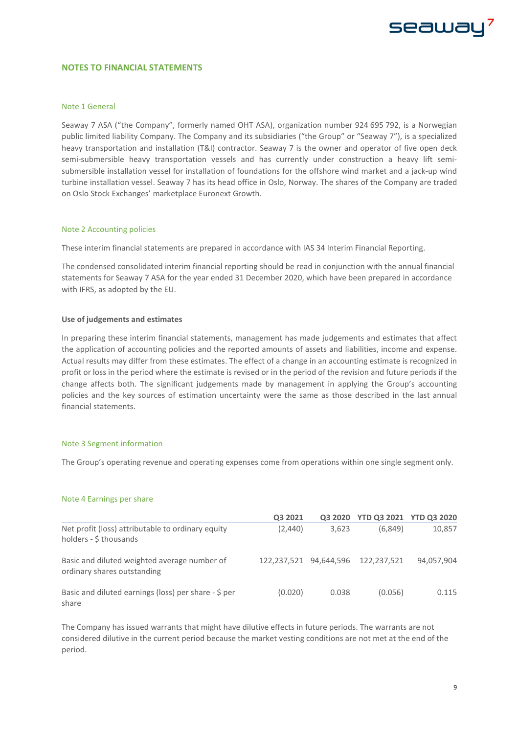# seawa

### **NOTES TO FINANCIAL STATEMENTS**

### Note 1 General

Seaway 7 ASA ("the Company", formerly named OHT ASA), organization number 924 695 792, is a Norwegian public limited liability Company. The Company and its subsidiaries ("the Group" or "Seaway 7"), is a specialized heavy transportation and installation (T&I) contractor. Seaway 7 is the owner and operator of five open deck semi-submersible heavy transportation vessels and has currently under construction a heavy lift semisubmersible installation vessel for installation of foundations for the offshore wind market and a jack-up wind turbine installation vessel. Seaway 7 has its head office in Oslo, Norway. The shares of the Company are traded on Oslo Stock Exchanges' marketplace Euronext Growth.

### Note 2 Accounting policies

These interim financial statements are prepared in accordance with IAS 34 Interim Financial Reporting.

The condensed consolidated interim financial reporting should be read in conjunction with the annual financial statements for Seaway 7 ASA for the year ended 31 December 2020, which have been prepared in accordance with IFRS, as adopted by the EU.

#### **Use of judgements and estimates**

In preparing these interim financial statements, management has made judgements and estimates that affect the application of accounting policies and the reported amounts of assets and liabilities, income and expense. Actual results may differ from these estimates. The effect of a change in an accounting estimate is recognized in profit or loss in the period where the estimate is revised or in the period of the revision and future periods if the change affects both. The significant judgements made by management in applying the Group's accounting policies and the key sources of estimation uncertainty were the same as those described in the last annual financial statements.

### Note 3 Segment information

The Group's operating revenue and operating expenses come from operations within one single segment only.

#### Note 4 Earnings per share

|                                                                             | Q3 2021     | Q3 2020    | <b>YTD Q3 2021 YTD Q3 2020</b> |            |
|-----------------------------------------------------------------------------|-------------|------------|--------------------------------|------------|
| Net profit (loss) attributable to ordinary equity<br>holders - \$ thousands | (2,440)     | 3,623      | (6.849)                        | 10,857     |
| Basic and diluted weighted average number of<br>ordinary shares outstanding | 122.237.521 | 94.644.596 | 122.237.521                    | 94,057,904 |
| Basic and diluted earnings (loss) per share - \$ per<br>share               | (0.020)     | 0.038      | (0.056)                        | 0.115      |

The Company has issued warrants that might have dilutive effects in future periods. The warrants are not considered dilutive in the current period because the market vesting conditions are not met at the end of the period.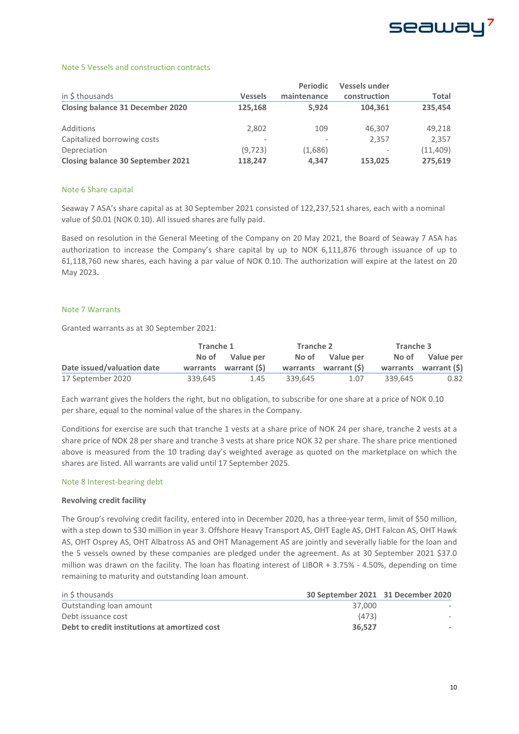

### Note 5 Vessels and construction contracts

|                                          |                          | <b>Periodic</b> | Vessels under |              |  |
|------------------------------------------|--------------------------|-----------------|---------------|--------------|--|
| in \$ thousands                          | <b>Vessels</b>           | maintenance     | construction  | <b>Total</b> |  |
| <b>Closing balance 31 December 2020</b>  | 125,168                  | 5.924           | 104.361       | 235.454      |  |
| Additions                                | 2,802                    | 109             | 46,307        | 49,218       |  |
| Capitalized borrowing costs              | $\overline{\phantom{a}}$ |                 | 2.357         | 2.357        |  |
| Depreciation                             | (9.723)                  | (1,686)         |               | (11, 409)    |  |
| <b>Closing balance 30 September 2021</b> | 118,247                  | 4.347           | 153,025       | 275,619      |  |

### Note 6 Share capital

Seaway 7 ASA's share capital as at 30 September 2021 consisted of 122,237,521 shares, each with a nominal value of \$0.01 (NOK 0.10). All issued shares are fully paid.

Based on resolution in the General Meeting of the Company on 20 May 2021, the Board of Seaway 7 ASA has authorization to increase the Company's share capital by up to NOK 6,111,876 through issuance of up to 61,118,760 new shares, each having a par value of NOK 0.10. The authorization will expire at the latest on 20 May 2023.

### Note 7 Warrants

Granted warrants as at 30 September 2021:

|                            | Tranche 1 |                       | Tranche 2 |                       | Tranche 3 |                       |
|----------------------------|-----------|-----------------------|-----------|-----------------------|-----------|-----------------------|
|                            |           | No of Value per       |           | No of Value per       |           | No of Value per       |
| Date issued/valuation date |           | warrants warrant (\$) |           | warrants warrant (\$) |           | warrants warrant (\$) |
| 17 September 2020          | 339.645   | 1.45                  | 339.645   | 1.07                  | 339.645   | 0.82                  |

Each warrant gives the holders the right, but no obligation, to subscribe for one share at a price of NOK 0.10 per share, equal to the nominal value of the shares in the Company.

Conditions for exercise are such that tranche 1 vests at a share price of NOK 24 per share, tranche 2 vests at a share price of NOK 28 per share and tranche 3 vests at share price NOK 32 per share. The share price mentioned above is measured from the 10 trading day's weighted average as quoted on the marketplace on which the shares are listed. All warrants are valid until 17 September 2025.

### Note 8 Interest-bearing debt

### **Revolving credit facility**

The Group's revolving credit facility, entered into in December 2020, has a three-year term, limit of \$50 million, with a step down to \$30 million in year 3. Offshore Heavy Transport AS, OHT Eagle AS, OHT Falcon AS, OHT Hawk AS, OHT Osprey AS, OHT Albatross AS and OHT Management AS are jointly and severally liable for the loan and the 5 vessels owned by these companies are pledged under the agreement. As at 30 September 2021 \$37.0 million was drawn on the facility. The loan has floating interest of LIBOR + 3.75% - 4.50%, depending on time remaining to maturity and outstanding loan amount.

| in \$ thousands                               | 30 September 2021 31 December 2020 |  |
|-----------------------------------------------|------------------------------------|--|
| Outstanding loan amount                       | 37.000                             |  |
| Debt issuance cost                            | (473)                              |  |
| Debt to credit institutions at amortized cost | 36.527                             |  |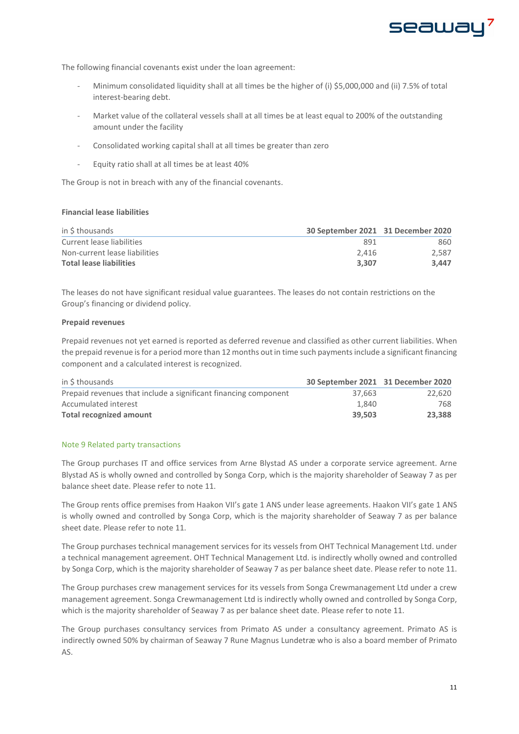

The following financial covenants exist under the loan agreement:

- Minimum consolidated liquidity shall at all times be the higher of (i) \$5,000,000 and (ii) 7.5% of total interest-bearing debt.
- Market value of the collateral vessels shall at all times be at least equal to 200% of the outstanding amount under the facility
- Consolidated working capital shall at all times be greater than zero
- Equity ratio shall at all times be at least 40%

The Group is not in breach with any of the financial covenants.

### **Financial lease liabilities**

| in \$ thousands                | 30 September 2021 31 December 2020 |       |
|--------------------------------|------------------------------------|-------|
| Current lease liabilities      | 891                                | 860   |
| Non-current lease liabilities  | 2.416                              | 2.587 |
| <b>Total lease liabilities</b> | 3.307                              | 3.447 |

The leases do not have significant residual value guarantees. The leases do not contain restrictions on the Group's financing or dividend policy.

### **Prepaid revenues**

Prepaid revenues not yet earned is reported as deferred revenue and classified as other current liabilities. When the prepaid revenue is for a period more than 12 months out in time such paymentsinclude a significant financing component and a calculated interest is recognized.

| in S thousands                                                  | 30 September 2021 31 December 2020 |        |
|-----------------------------------------------------------------|------------------------------------|--------|
| Prepaid revenues that include a significant financing component | 37.663                             | 22.620 |
| Accumulated interest                                            | 1.840                              | 768    |
| <b>Total recognized amount</b>                                  | 39.503                             | 23.388 |

### Note 9 Related party transactions

The Group purchases IT and office services from Arne Blystad AS under a corporate service agreement. Arne Blystad AS is wholly owned and controlled by Songa Corp, which is the majority shareholder of Seaway 7 as per balance sheet date. Please refer to note 11.

The Group rents office premises from Haakon VII's gate 1 ANS under lease agreements. Haakon VII's gate 1 ANS is wholly owned and controlled by Songa Corp, which is the majority shareholder of Seaway 7 as per balance sheet date. Please refer to note 11.

The Group purchases technical management services for its vessels from OHT Technical Management Ltd. under a technical management agreement. OHT Technical Management Ltd. is indirectly wholly owned and controlled by Songa Corp, which is the majority shareholder of Seaway 7 as per balance sheet date. Please refer to note 11.

The Group purchases crew management services for its vessels from Songa Crewmanagement Ltd under a crew management agreement. Songa Crewmanagement Ltd is indirectly wholly owned and controlled by Songa Corp, which is the majority shareholder of Seaway 7 as per balance sheet date. Please refer to note 11.

The Group purchases consultancy services from Primato AS under a consultancy agreement. Primato AS is indirectly owned 50% by chairman of Seaway 7 Rune Magnus Lundetræ who is also a board member of Primato AS.